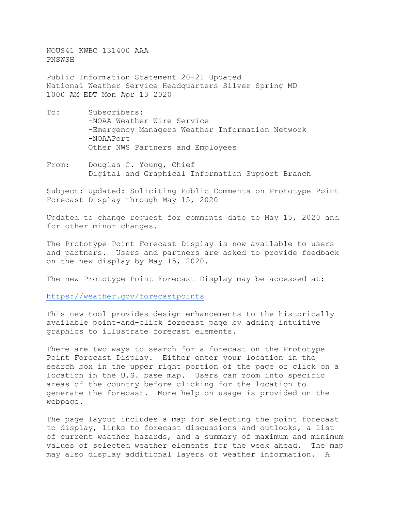NOUS41 KWBC 131400 AAA PNSWSH

Public Information Statement 20-21 Updated National Weather Service Headquarters Silver Spring MD 1000 AM EDT Mon Apr 13 2020

- To: Subscribers: -NOAA Weather Wire Service -Emergency Managers Weather Information Network -NOAAPort Other NWS Partners and Employees
- From: Douglas C. Young, Chief Digital and Graphical Information Support Branch

Subject: Updated: Soliciting Public Comments on Prototype Point Forecast Display through May 15, 2020

Updated to change request for comments date to May 15, 2020 and for other minor changes.

The Prototype Point Forecast Display is now available to users and partners. Users and partners are asked to provide feedback on the new display by May 15, 2020.

The new Prototype Point Forecast Display may be accessed at:

<https://weather.gov/forecastpoints>

This new tool provides design enhancements to the historically available point-and-click forecast page by adding intuitive graphics to illustrate forecast elements.

There are two ways to search for a forecast on the Prototype Point Forecast Display. Either enter your location in the search box in the upper right portion of the page or click on a location in the U.S. base map. Users can zoom into specific areas of the country before clicking for the location to generate the forecast. More help on usage is provided on the webpage.

The page layout includes a map for selecting the point forecast to display, links to forecast discussions and outlooks, a list of current weather hazards, and a summary of maximum and minimum values of selected weather elements for the week ahead. The map may also display additional layers of weather information. A